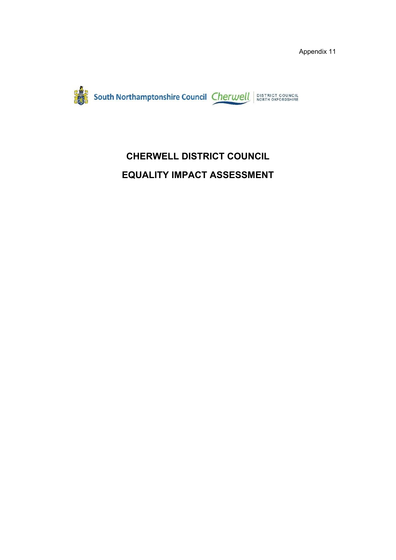

# **CHERWELL DISTRICT COUNCIL EQUALITY IMPACT ASSESSMENT**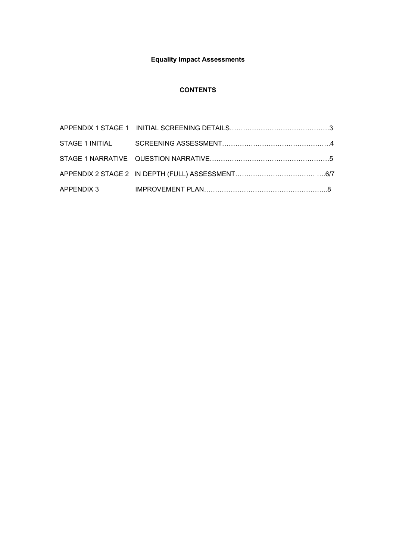# **Equality Impact Assessments**

### **CONTENTS**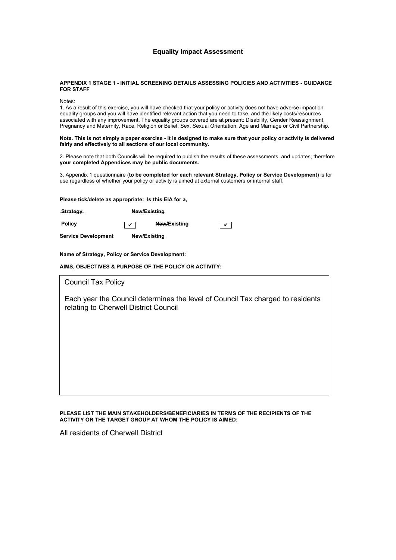### **Equality Impact Assessment**

#### **APPENDIX 1 STAGE 1 - INITIAL SCREENING DETAILS ASSESSING POLICIES AND ACTIVITIES - GUIDANCE FOR STAFF**

Notes:

1. As a result of this exercise, you will have checked that your policy or activity does not have adverse impact on equality groups and you will have identified relevant action that you need to take, and the likely costs/resources associated with any improvement. The equality groups covered are at present: Disability, Gender Reassignment, Pregnancy and Maternity, Race, Religion or Belief, Sex, Sexual Orientation, Age and Marriage or Civil Partnership.

Note. This is not simply a paper exercise - it is designed to make sure that your policy or activity is delivered **fairly and effectively to all sections of our local community.**

2. Please note that both Councils will be required to publish the results of these assessments, and updates, therefore **your completed Appendices may be public documents.**

3. Appendix 1 questionnaire (**to be completed for each relevant Strategy, Policy or Service Development**) is for use regardless of whether your policy or activity is aimed at external customers or internal staff.

**Please tick/delete as appropriate: Is this EIA for a,**

**Strategy New/Existing**

**Policy New/Existing**

**Service Development New/Existing**

**Name of Strategy, Policy or Service Development:**

**AIMS, OBJECTIVES & PURPOSE OF THE POLICY OR ACTIVITY:**

| <b>Council Tax Policy</b>                                                                                               |  |  |
|-------------------------------------------------------------------------------------------------------------------------|--|--|
| Each year the Council determines the level of Council Tax charged to residents<br>relating to Cherwell District Council |  |  |
|                                                                                                                         |  |  |
|                                                                                                                         |  |  |
|                                                                                                                         |  |  |
|                                                                                                                         |  |  |

**PLEASE LIST THE MAIN STAKEHOLDERS/BENEFICIARIES IN TERMS OF THE RECIPIENTS OF THE ACTIVITY OR THE TARGET GROUP AT WHOM THE POLICY IS AIMED:**

All residents of Cherwell District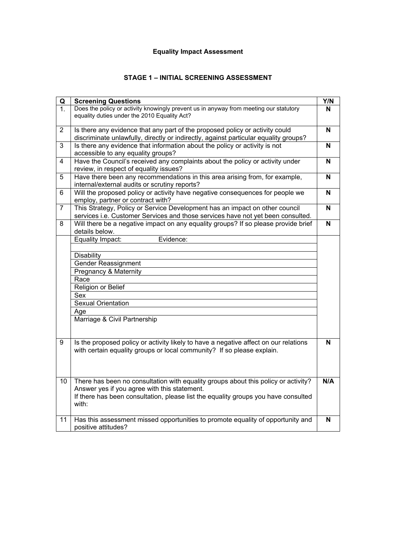# **Equality Impact Assessment**

# **STAGE 1 – INITIAL SCREENING ASSESSMENT**

| Q                | <b>Screening Questions</b>                                                                                          | Y/N         |
|------------------|---------------------------------------------------------------------------------------------------------------------|-------------|
| $\overline{1}$ . | Does the policy or activity knowingly prevent us in anyway from meeting our statutory                               | N           |
|                  | equality duties under the 2010 Equality Act?                                                                        |             |
|                  |                                                                                                                     |             |
| $\overline{2}$   | Is there any evidence that any part of the proposed policy or activity could                                        | N           |
|                  | discriminate unlawfully, directly or indirectly, against particular equality groups?                                |             |
| 3                | Is there any evidence that information about the policy or activity is not                                          | $\mathbf N$ |
| $\overline{4}$   | accessible to any equality groups?<br>Have the Council's received any complaints about the policy or activity under | N           |
|                  | review, in respect of equality issues?                                                                              |             |
| 5                | Have there been any recommendations in this area arising from, for example,                                         | N           |
|                  | internal/external audits or scrutiny reports?                                                                       |             |
| $6\phantom{a}$   | Will the proposed policy or activity have negative consequences for people we                                       | N           |
|                  | employ, partner or contract with?                                                                                   |             |
| $\overline{7}$   | This Strategy, Policy or Service Development has an impact on other council                                         | N           |
|                  | services i.e. Customer Services and those services have not yet been consulted.                                     |             |
| 8                | Will there be a negative impact on any equality groups? If so please provide brief                                  | N           |
|                  | details below.                                                                                                      |             |
|                  | Equality Impact:<br>Evidence:                                                                                       |             |
|                  |                                                                                                                     |             |
|                  | <b>Disability</b>                                                                                                   |             |
|                  | <b>Gender Reassignment</b>                                                                                          |             |
|                  | Pregnancy & Maternity                                                                                               |             |
|                  | Race                                                                                                                |             |
|                  | Religion or Belief                                                                                                  |             |
|                  | Sex                                                                                                                 |             |
|                  | <b>Sexual Orientation</b>                                                                                           |             |
|                  | Age                                                                                                                 |             |
|                  | Marriage & Civil Partnership                                                                                        |             |
|                  |                                                                                                                     |             |
|                  |                                                                                                                     |             |
| $\overline{9}$   | Is the proposed policy or activity likely to have a negative affect on our relations                                | N           |
|                  | with certain equality groups or local community? If so please explain.                                              |             |
|                  |                                                                                                                     |             |
|                  |                                                                                                                     |             |
|                  |                                                                                                                     |             |
| 10               | There has been no consultation with equality groups about this policy or activity?                                  | N/A         |
|                  | Answer yes if you agree with this statement.                                                                        |             |
|                  | If there has been consultation, please list the equality groups you have consulted                                  |             |
|                  | with:                                                                                                               |             |
|                  |                                                                                                                     |             |
| 11               | Has this assessment missed opportunities to promote equality of opportunity and                                     | N           |
|                  | positive attitudes?                                                                                                 |             |